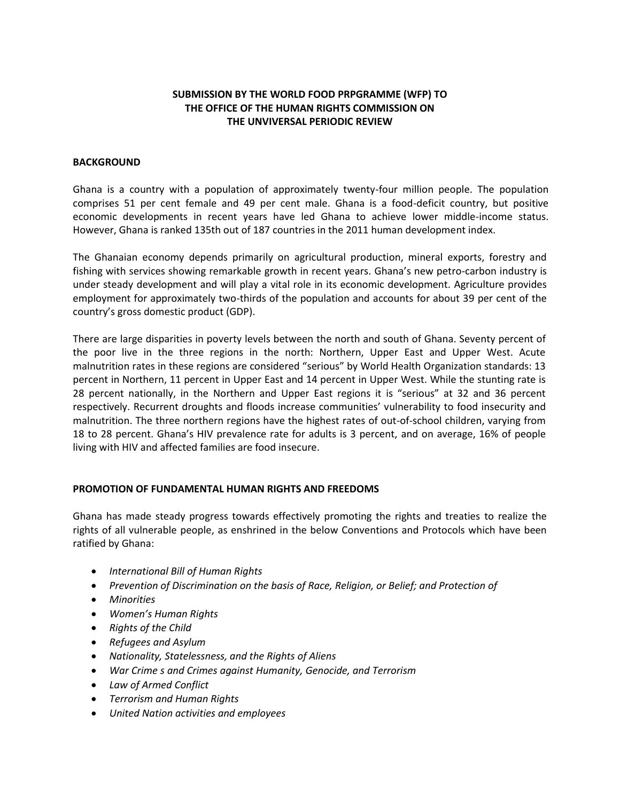# **SUBMISSION BY THE WORLD FOOD PRPGRAMME (WFP) TO THE OFFICE OF THE HUMAN RIGHTS COMMISSION ON THE UNVIVERSAL PERIODIC REVIEW**

## **BACKGROUND**

Ghana is a country with a population of approximately twenty-four million people. The population comprises 51 per cent female and 49 per cent male. Ghana is a food-deficit country, but positive economic developments in recent years have led Ghana to achieve lower middle-income status. However, Ghana is ranked 135th out of 187 countries in the 2011 human development index.

The Ghanaian economy depends primarily on agricultural production, mineral exports, forestry and fishing with services showing remarkable growth in recent years. Ghana's new petro-carbon industry is under steady development and will play a vital role in its economic development. Agriculture provides employment for approximately two-thirds of the population and accounts for about 39 per cent of the country's gross domestic product (GDP).

There are large disparities in poverty levels between the north and south of Ghana. Seventy percent of the poor live in the three regions in the north: Northern, Upper East and Upper West. Acute malnutrition rates in these regions are considered "serious" by World Health Organization standards: 13 percent in Northern, 11 percent in Upper East and 14 percent in Upper West. While the stunting rate is 28 percent nationally, in the Northern and Upper East regions it is "serious" at 32 and 36 percent respectively. Recurrent droughts and floods increase communities' vulnerability to food insecurity and malnutrition. The three northern regions have the highest rates of out-of-school children, varying from 18 to 28 percent. Ghana's HIV prevalence rate for adults is 3 percent, and on average, 16% of people living with HIV and affected families are food insecure.

#### **PROMOTION OF FUNDAMENTAL HUMAN RIGHTS AND FREEDOMS**

Ghana has made steady progress towards effectively promoting the rights and treaties to realize the rights of all vulnerable people, as enshrined in the below Conventions and Protocols which have been ratified by Ghana:

- *International Bill of Human Rights*
- *Prevention of Discrimination on the basis of Race, Religion, or Belief; and Protection of*
- *Minorities*
- *Women's Human Rights*
- *Rights of the Child*
- *Refugees and Asylum*
- *Nationality, Statelessness, and the Rights of Aliens*
- *War Crime s and Crimes against Humanity, Genocide, and Terrorism*
- *Law of Armed Conflict*
- *Terrorism and Human Rights*
- *United Nation activities and employees*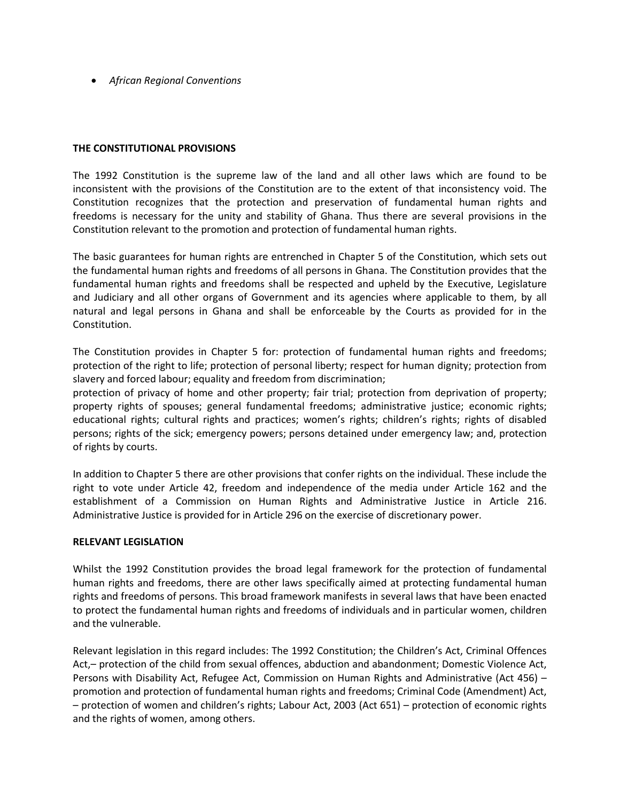*African Regional Conventions*

## **THE CONSTITUTIONAL PROVISIONS**

The 1992 Constitution is the supreme law of the land and all other laws which are found to be inconsistent with the provisions of the Constitution are to the extent of that inconsistency void. The Constitution recognizes that the protection and preservation of fundamental human rights and freedoms is necessary for the unity and stability of Ghana. Thus there are several provisions in the Constitution relevant to the promotion and protection of fundamental human rights.

The basic guarantees for human rights are entrenched in Chapter 5 of the Constitution, which sets out the fundamental human rights and freedoms of all persons in Ghana. The Constitution provides that the fundamental human rights and freedoms shall be respected and upheld by the Executive, Legislature and Judiciary and all other organs of Government and its agencies where applicable to them, by all natural and legal persons in Ghana and shall be enforceable by the Courts as provided for in the Constitution.

The Constitution provides in Chapter 5 for: protection of fundamental human rights and freedoms; protection of the right to life; protection of personal liberty; respect for human dignity; protection from slavery and forced labour; equality and freedom from discrimination;

protection of privacy of home and other property; fair trial; protection from deprivation of property; property rights of spouses; general fundamental freedoms; administrative justice; economic rights; educational rights; cultural rights and practices; women's rights; children's rights; rights of disabled persons; rights of the sick; emergency powers; persons detained under emergency law; and, protection of rights by courts.

In addition to Chapter 5 there are other provisions that confer rights on the individual. These include the right to vote under Article 42, freedom and independence of the media under Article 162 and the establishment of a Commission on Human Rights and Administrative Justice in Article 216. Administrative Justice is provided for in Article 296 on the exercise of discretionary power.

#### **RELEVANT LEGISLATION**

Whilst the 1992 Constitution provides the broad legal framework for the protection of fundamental human rights and freedoms, there are other laws specifically aimed at protecting fundamental human rights and freedoms of persons. This broad framework manifests in several laws that have been enacted to protect the fundamental human rights and freedoms of individuals and in particular women, children and the vulnerable.

Relevant legislation in this regard includes: The 1992 Constitution; the Children's Act, Criminal Offences Act,– protection of the child from sexual offences, abduction and abandonment; Domestic Violence Act, Persons with Disability Act, Refugee Act, Commission on Human Rights and Administrative (Act 456) – promotion and protection of fundamental human rights and freedoms; Criminal Code (Amendment) Act, – protection of women and children's rights; Labour Act, 2003 (Act 651) – protection of economic rights and the rights of women, among others.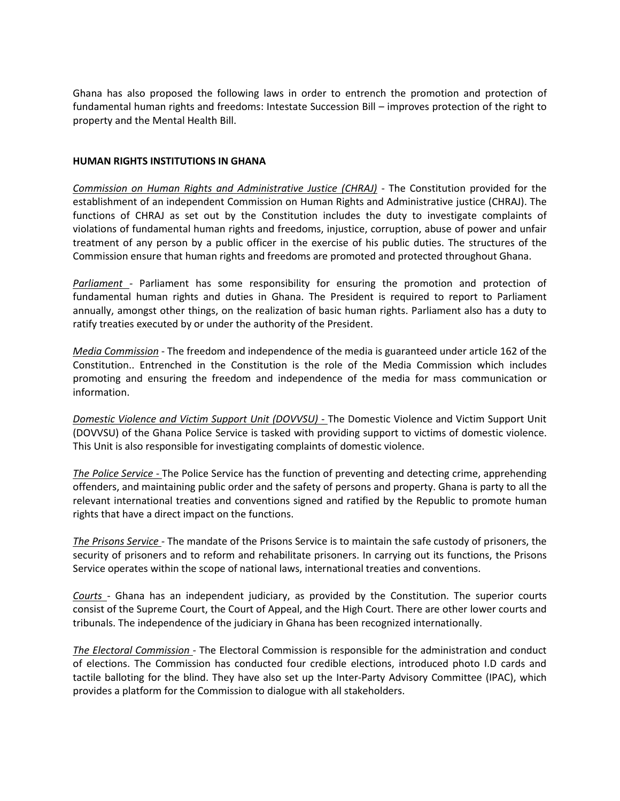Ghana has also proposed the following laws in order to entrench the promotion and protection of fundamental human rights and freedoms: Intestate Succession Bill – improves protection of the right to property and the Mental Health Bill.

## **HUMAN RIGHTS INSTITUTIONS IN GHANA**

*Commission on Human Rights and Administrative Justice (CHRAJ)* - The Constitution provided for the establishment of an independent Commission on Human Rights and Administrative justice (CHRAJ). The functions of CHRAJ as set out by the Constitution includes the duty to investigate complaints of violations of fundamental human rights and freedoms, injustice, corruption, abuse of power and unfair treatment of any person by a public officer in the exercise of his public duties. The structures of the Commission ensure that human rights and freedoms are promoted and protected throughout Ghana.

*Parliament -* Parliament has some responsibility for ensuring the promotion and protection of fundamental human rights and duties in Ghana. The President is required to report to Parliament annually, amongst other things, on the realization of basic human rights. Parliament also has a duty to ratify treaties executed by or under the authority of the President.

*Media Commission* - The freedom and independence of the media is guaranteed under article 162 of the Constitution.. Entrenched in the Constitution is the role of the Media Commission which includes promoting and ensuring the freedom and independence of the media for mass communication or information.

*Domestic Violence and Victim Support Unit (DOVVSU) -* The Domestic Violence and Victim Support Unit (DOVVSU) of the Ghana Police Service is tasked with providing support to victims of domestic violence. This Unit is also responsible for investigating complaints of domestic violence.

*The Police Service -* The Police Service has the function of preventing and detecting crime, apprehending offenders, and maintaining public order and the safety of persons and property. Ghana is party to all the relevant international treaties and conventions signed and ratified by the Republic to promote human rights that have a direct impact on the functions.

*The Prisons Service -* The mandate of the Prisons Service is to maintain the safe custody of prisoners, the security of prisoners and to reform and rehabilitate prisoners. In carrying out its functions, the Prisons Service operates within the scope of national laws, international treaties and conventions.

*Courts -* Ghana has an independent judiciary, as provided by the Constitution. The superior courts consist of the Supreme Court, the Court of Appeal, and the High Court. There are other lower courts and tribunals. The independence of the judiciary in Ghana has been recognized internationally.

*The Electoral Commission -* The Electoral Commission is responsible for the administration and conduct of elections. The Commission has conducted four credible elections, introduced photo I.D cards and tactile balloting for the blind. They have also set up the Inter-Party Advisory Committee (IPAC), which provides a platform for the Commission to dialogue with all stakeholders.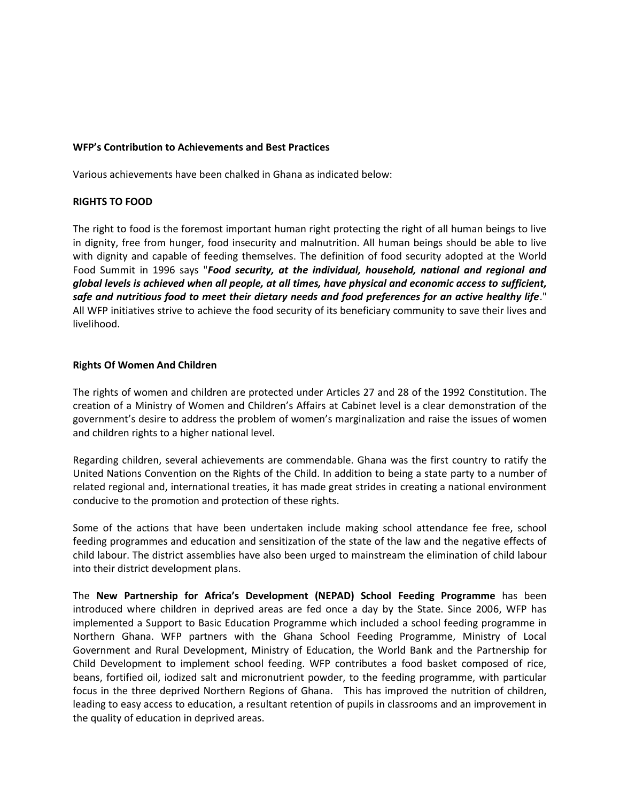## **WFP's Contribution to Achievements and Best Practices**

Various achievements have been chalked in Ghana as indicated below:

## **RIGHTS TO FOOD**

The right to food is the foremost important human right protecting the right of all human beings to live in dignity, free from hunger, food insecurity and malnutrition. All human beings should be able to live with dignity and capable of feeding themselves. The definition of food security adopted at the World Food Summit in 1996 says "*Food security, at the individual, household, national and regional and global levels is achieved when all people, at all times, have physical and economic access to sufficient, safe and nutritious food to meet their dietary needs and food preferences for an active healthy life*." All WFP initiatives strive to achieve the food security of its beneficiary community to save their lives and livelihood.

## **Rights Of Women And Children**

The rights of women and children are protected under Articles 27 and 28 of the 1992 Constitution. The creation of a Ministry of Women and Children's Affairs at Cabinet level is a clear demonstration of the government's desire to address the problem of women's marginalization and raise the issues of women and children rights to a higher national level.

Regarding children, several achievements are commendable. Ghana was the first country to ratify the United Nations Convention on the Rights of the Child. In addition to being a state party to a number of related regional and, international treaties, it has made great strides in creating a national environment conducive to the promotion and protection of these rights.

Some of the actions that have been undertaken include making school attendance fee free, school feeding programmes and education and sensitization of the state of the law and the negative effects of child labour. The district assemblies have also been urged to mainstream the elimination of child labour into their district development plans.

The **New Partnership for Africa's Development (NEPAD) School Feeding Programme** has been introduced where children in deprived areas are fed once a day by the State. Since 2006, WFP has implemented a Support to Basic Education Programme which included a school feeding programme in Northern Ghana. WFP partners with the Ghana School Feeding Programme, Ministry of Local Government and Rural Development, Ministry of Education, the World Bank and the Partnership for Child Development to implement school feeding. WFP contributes a food basket composed of rice, beans, fortified oil, iodized salt and micronutrient powder, to the feeding programme, with particular focus in the three deprived Northern Regions of Ghana. This has improved the nutrition of children, leading to easy access to education, a resultant retention of pupils in classrooms and an improvement in the quality of education in deprived areas.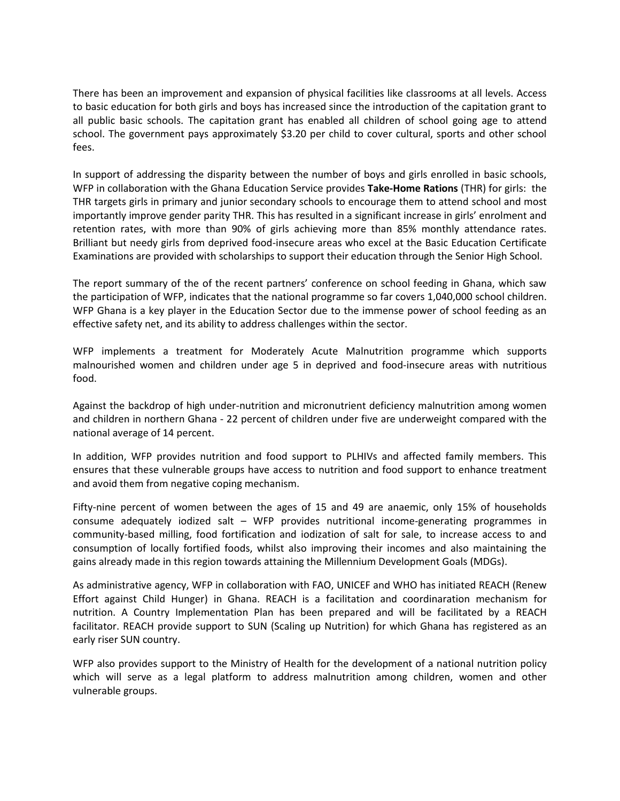There has been an improvement and expansion of physical facilities like classrooms at all levels. Access to basic education for both girls and boys has increased since the introduction of the capitation grant to all public basic schools. The capitation grant has enabled all children of school going age to attend school. The government pays approximately \$3.20 per child to cover cultural, sports and other school fees.

In support of addressing the disparity between the number of boys and girls enrolled in basic schools, WFP in collaboration with the Ghana Education Service provides **Take-Home Rations** (THR) for girls: the THR targets girls in primary and junior secondary schools to encourage them to attend school and most importantly improve gender parity THR. This has resulted in a significant increase in girls' enrolment and retention rates, with more than 90% of girls achieving more than 85% monthly attendance rates. Brilliant but needy girls from deprived food-insecure areas who excel at the Basic Education Certificate Examinations are provided with scholarships to support their education through the Senior High School.

The report summary of the of the recent partners' conference on school feeding in Ghana, which saw the participation of WFP, indicates that the national programme so far covers 1,040,000 school children. WFP Ghana is a key player in the Education Sector due to the immense power of school feeding as an effective safety net, and its ability to address challenges within the sector.

WFP implements a treatment for Moderately Acute Malnutrition programme which supports malnourished women and children under age 5 in deprived and food-insecure areas with nutritious food.

Against the backdrop of high under-nutrition and micronutrient deficiency malnutrition among women and children in northern Ghana - 22 percent of children under five are underweight compared with the national average of 14 percent.

In addition, WFP provides nutrition and food support to PLHIVs and affected family members. This ensures that these vulnerable groups have access to nutrition and food support to enhance treatment and avoid them from negative coping mechanism.

Fifty-nine percent of women between the ages of 15 and 49 are anaemic, only 15% of households consume adequately iodized salt – WFP provides nutritional income-generating programmes in community-based milling, food fortification and iodization of salt for sale, to increase access to and consumption of locally fortified foods, whilst also improving their incomes and also maintaining the gains already made in this region towards attaining the Millennium Development Goals (MDGs).

As administrative agency, WFP in collaboration with FAO, UNICEF and WHO has initiated REACH (Renew Effort against Child Hunger) in Ghana. REACH is a facilitation and coordinaration mechanism for nutrition. A Country Implementation Plan has been prepared and will be facilitated by a REACH facilitator. REACH provide support to SUN (Scaling up Nutrition) for which Ghana has registered as an early riser SUN country.

WFP also provides support to the Ministry of Health for the development of a national nutrition policy which will serve as a legal platform to address malnutrition among children, women and other vulnerable groups.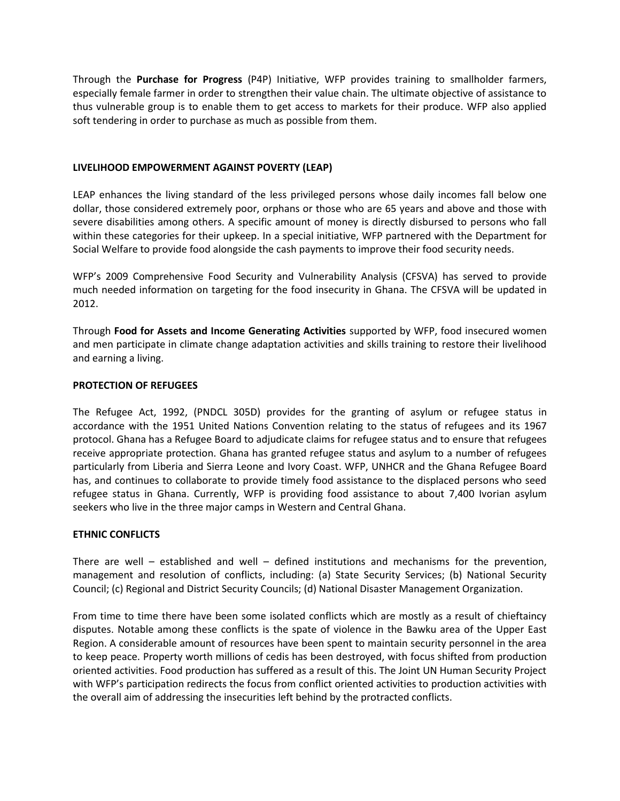Through the **Purchase for Progress** (P4P) Initiative, WFP provides training to smallholder farmers, especially female farmer in order to strengthen their value chain. The ultimate objective of assistance to thus vulnerable group is to enable them to get access to markets for their produce. WFP also applied soft tendering in order to purchase as much as possible from them.

## **LIVELIHOOD EMPOWERMENT AGAINST POVERTY (LEAP)**

LEAP enhances the living standard of the less privileged persons whose daily incomes fall below one dollar, those considered extremely poor, orphans or those who are 65 years and above and those with severe disabilities among others. A specific amount of money is directly disbursed to persons who fall within these categories for their upkeep. In a special initiative, WFP partnered with the Department for Social Welfare to provide food alongside the cash payments to improve their food security needs.

WFP's 2009 Comprehensive Food Security and Vulnerability Analysis (CFSVA) has served to provide much needed information on targeting for the food insecurity in Ghana. The CFSVA will be updated in 2012.

Through **Food for Assets and Income Generating Activities** supported by WFP, food insecured women and men participate in climate change adaptation activities and skills training to restore their livelihood and earning a living.

## **PROTECTION OF REFUGEES**

The Refugee Act, 1992, (PNDCL 305D) provides for the granting of asylum or refugee status in accordance with the 1951 United Nations Convention relating to the status of refugees and its 1967 protocol. Ghana has a Refugee Board to adjudicate claims for refugee status and to ensure that refugees receive appropriate protection. Ghana has granted refugee status and asylum to a number of refugees particularly from Liberia and Sierra Leone and Ivory Coast. WFP, UNHCR and the Ghana Refugee Board has, and continues to collaborate to provide timely food assistance to the displaced persons who seed refugee status in Ghana. Currently, WFP is providing food assistance to about 7,400 Ivorian asylum seekers who live in the three major camps in Western and Central Ghana.

## **ETHNIC CONFLICTS**

There are well – established and well – defined institutions and mechanisms for the prevention, management and resolution of conflicts, including: (a) State Security Services; (b) National Security Council; (c) Regional and District Security Councils; (d) National Disaster Management Organization.

From time to time there have been some isolated conflicts which are mostly as a result of chieftaincy disputes. Notable among these conflicts is the spate of violence in the Bawku area of the Upper East Region. A considerable amount of resources have been spent to maintain security personnel in the area to keep peace. Property worth millions of cedis has been destroyed, with focus shifted from production oriented activities. Food production has suffered as a result of this. The Joint UN Human Security Project with WFP's participation redirects the focus from conflict oriented activities to production activities with the overall aim of addressing the insecurities left behind by the protracted conflicts.